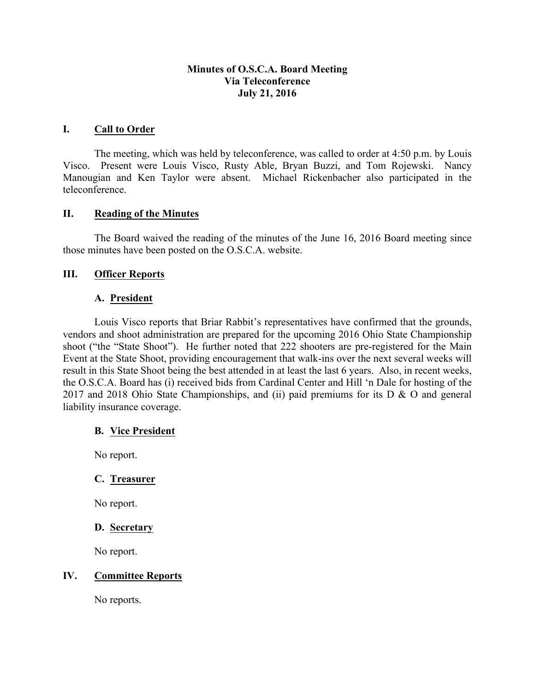## **Minutes of O.S.C.A. Board Meeting Via Teleconference July 21, 2016**

### **I. Call to Order**

The meeting, which was held by teleconference, was called to order at 4:50 p.m. by Louis Visco. Present were Louis Visco, Rusty Able, Bryan Buzzi, and Tom Rojewski. Nancy Manougian and Ken Taylor were absent. Michael Rickenbacher also participated in the teleconference.

### **II. Reading of the Minutes**

The Board waived the reading of the minutes of the June 16, 2016 Board meeting since those minutes have been posted on the O.S.C.A. website.

### **III. Officer Reports**

#### **A. President**

Louis Visco reports that Briar Rabbit's representatives have confirmed that the grounds, vendors and shoot administration are prepared for the upcoming 2016 Ohio State Championship shoot ("the "State Shoot"). He further noted that 222 shooters are pre-registered for the Main Event at the State Shoot, providing encouragement that walk-ins over the next several weeks will result in this State Shoot being the best attended in at least the last 6 years. Also, in recent weeks, the O.S.C.A. Board has (i) received bids from Cardinal Center and Hill 'n Dale for hosting of the 2017 and 2018 Ohio State Championships, and (ii) paid premiums for its  $D \& O$  and general liability insurance coverage.

#### **B. Vice President**

No report.

# **C. Treasurer**

No report.

### **D. Secretary**

No report.

### **IV. Committee Reports**

No reports.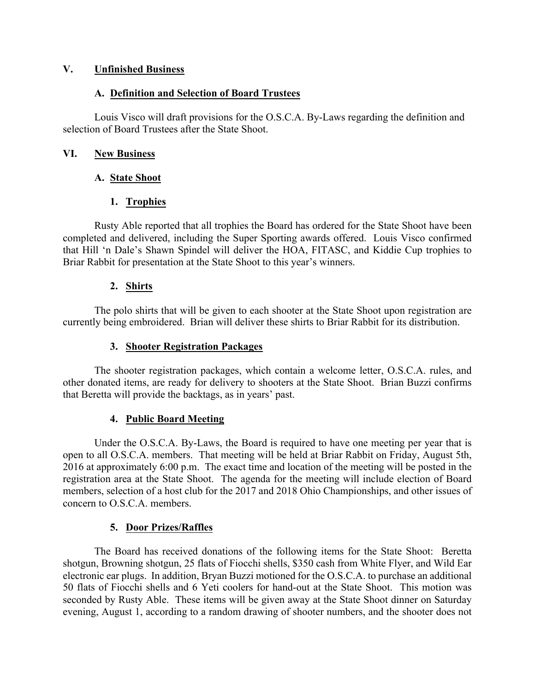## **V. Unfinished Business**

## **A. Definition and Selection of Board Trustees**

Louis Visco will draft provisions for the O.S.C.A. By-Laws regarding the definition and selection of Board Trustees after the State Shoot.

## **VI. New Business**

# **A. State Shoot**

# **1. Trophies**

Rusty Able reported that all trophies the Board has ordered for the State Shoot have been completed and delivered, including the Super Sporting awards offered. Louis Visco confirmed that Hill 'n Dale's Shawn Spindel will deliver the HOA, FITASC, and Kiddie Cup trophies to Briar Rabbit for presentation at the State Shoot to this year's winners.

## **2. Shirts**

The polo shirts that will be given to each shooter at the State Shoot upon registration are currently being embroidered. Brian will deliver these shirts to Briar Rabbit for its distribution.

### **3. Shooter Registration Packages**

The shooter registration packages, which contain a welcome letter, O.S.C.A. rules, and other donated items, are ready for delivery to shooters at the State Shoot. Brian Buzzi confirms that Beretta will provide the backtags, as in years' past.

# **4. Public Board Meeting**

Under the O.S.C.A. By-Laws, the Board is required to have one meeting per year that is open to all O.S.C.A. members. That meeting will be held at Briar Rabbit on Friday, August 5th, 2016 at approximately 6:00 p.m. The exact time and location of the meeting will be posted in the registration area at the State Shoot. The agenda for the meeting will include election of Board members, selection of a host club for the 2017 and 2018 Ohio Championships, and other issues of concern to O.S.C.A. members.

# **5. Door Prizes/Raffles**

The Board has received donations of the following items for the State Shoot: Beretta shotgun, Browning shotgun, 25 flats of Fiocchi shells, \$350 cash from White Flyer, and Wild Ear electronic ear plugs. In addition, Bryan Buzzi motioned for the O.S.C.A. to purchase an additional 50 flats of Fiocchi shells and 6 Yeti coolers for hand-out at the State Shoot. This motion was seconded by Rusty Able. These items will be given away at the State Shoot dinner on Saturday evening, August 1, according to a random drawing of shooter numbers, and the shooter does not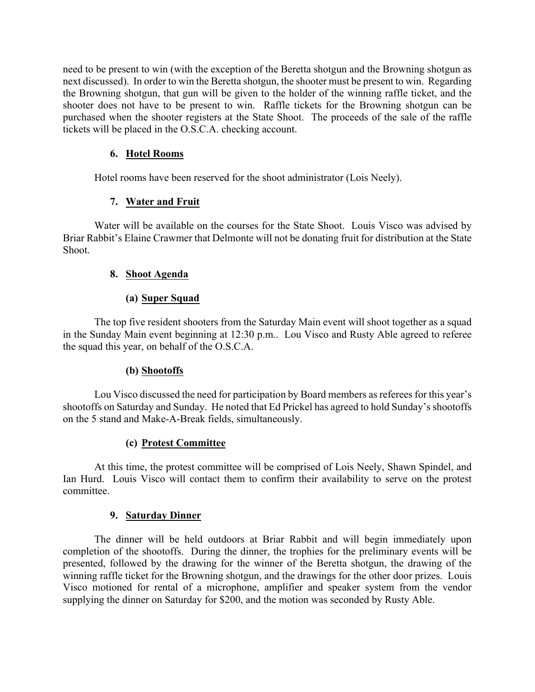need to be present to win (with the exception of the Beretta shotgun and the Browning shotgun as next discussed). In order to win the Beretta shotgun, the shooter must be present to win. Regarding the Browning shotgun, that gun will be given to the holder of the winning raffle ticket, and the shooter does not have to be present to win. Raffle tickets for the Browning shotgun can be purchased when the shooter registers at the State Shoot. The proceeds of the sale of the raffle tickets will be placed in the O.S.C.A. checking account.

# **6. Hotel Rooms**

Hotel rooms have been reserved for the shoot administrator (Lois Neely).

# **7. Water and Fruit**

Water will be available on the courses for the State Shoot. Louis Visco was advised by Briar Rabbit's Elaine Crawmer that Delmonte will not be donating fruit for distribution at the State Shoot.

# **8. Shoot Agenda**

# **(a) Super Squad**

The top five resident shooters from the Saturday Main event will shoot together as a squad in the Sunday Main event beginning at 12:30 p.m.. Lou Visco and Rusty Able agreed to referee the squad this year, on behalf of the O.S.C.A.

# **(b) Shootoffs**

Lou Visco discussed the need for participation by Board members as referees for this year's shootoffs on Saturday and Sunday. He noted that Ed Prickel has agreed to hold Sunday's shootoffs on the 5 stand and Make-A-Break fields, simultaneously.

# **(c) Protest Committee**

At this time, the protest committee will be comprised of Lois Neely, Shawn Spindel, and Ian Hurd. Louis Visco will contact them to confirm their availability to serve on the protest committee.

# **9. Saturday Dinner**

The dinner will be held outdoors at Briar Rabbit and will begin immediately upon completion of the shootoffs. During the dinner, the trophies for the preliminary events will be presented, followed by the drawing for the winner of the Beretta shotgun, the drawing of the winning raffle ticket for the Browning shotgun, and the drawings for the other door prizes. Louis Visco motioned for rental of a microphone, amplifier and speaker system from the vendor supplying the dinner on Saturday for \$200, and the motion was seconded by Rusty Able.